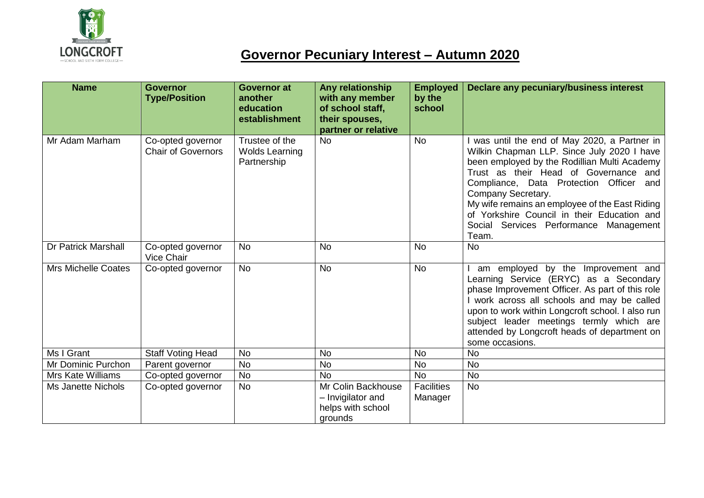

## **Governor Pecuniary Interest – Autumn 2020**

| <b>Name</b>                | <b>Governor</b><br><b>Type/Position</b>        | <b>Governor at</b><br>another<br>education<br>establishment | Any relationship<br>with any member<br>of school staff,<br>their spouses,<br>partner or relative | <b>Employed</b><br>by the<br>school | Declare any pecuniary/business interest                                                                                                                                                                                                                                                                                                                                                                    |
|----------------------------|------------------------------------------------|-------------------------------------------------------------|--------------------------------------------------------------------------------------------------|-------------------------------------|------------------------------------------------------------------------------------------------------------------------------------------------------------------------------------------------------------------------------------------------------------------------------------------------------------------------------------------------------------------------------------------------------------|
| Mr Adam Marham             | Co-opted governor<br><b>Chair of Governors</b> | Trustee of the<br><b>Wolds Learning</b><br>Partnership      | <b>No</b>                                                                                        | <b>No</b>                           | was until the end of May 2020, a Partner in<br>Wilkin Chapman LLP. Since July 2020 I have<br>been employed by the Rodillian Multi Academy<br>Trust as their Head of Governance and<br>Compliance, Data Protection Officer<br>and<br>Company Secretary.<br>My wife remains an employee of the East Riding<br>of Yorkshire Council in their Education and<br>Social Services Performance Management<br>Team. |
| <b>Dr Patrick Marshall</b> | Co-opted governor<br>Vice Chair                | <b>No</b>                                                   | <b>No</b>                                                                                        | <b>No</b>                           | <b>No</b>                                                                                                                                                                                                                                                                                                                                                                                                  |
| <b>Mrs Michelle Coates</b> | Co-opted governor                              | <b>No</b>                                                   | <b>No</b>                                                                                        | <b>No</b>                           | am employed by the Improvement and<br>Learning Service (ERYC) as a Secondary<br>phase Improvement Officer. As part of this role<br>I work across all schools and may be called<br>upon to work within Longcroft school. I also run<br>subject leader meetings termly which are<br>attended by Longcroft heads of department on<br>some occasions.                                                          |
| Ms I Grant                 | <b>Staff Voting Head</b>                       | <b>No</b>                                                   | <b>No</b>                                                                                        | <b>No</b>                           | <b>No</b>                                                                                                                                                                                                                                                                                                                                                                                                  |
| Mr Dominic Purchon         | Parent governor                                | <b>No</b>                                                   | <b>No</b>                                                                                        | <b>No</b>                           | <b>No</b>                                                                                                                                                                                                                                                                                                                                                                                                  |
| <b>Mrs Kate Williams</b>   | Co-opted governor                              | <b>No</b>                                                   | <b>No</b>                                                                                        | <b>No</b>                           | <b>No</b>                                                                                                                                                                                                                                                                                                                                                                                                  |
| <b>Ms Janette Nichols</b>  | Co-opted governor                              | <b>No</b>                                                   | Mr Colin Backhouse<br>- Invigilator and<br>helps with school<br>grounds                          | <b>Facilities</b><br>Manager        | <b>No</b>                                                                                                                                                                                                                                                                                                                                                                                                  |